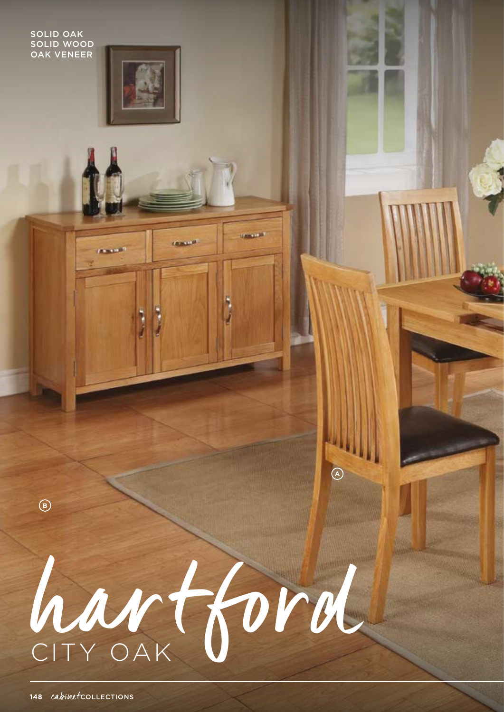**SOLID OAK SOLID WOOD OAK VENEER** 



*CONTRACTORY* 



**HARRY LEW** 

 $\circledR$ 

**CANLES** 

 $\bigcirc$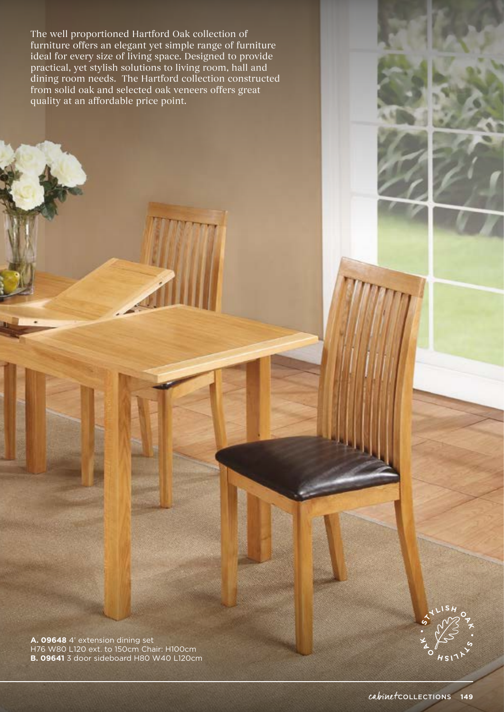The well proportioned Hartford Oak collection of furniture offers an elegant yet simple range of furniture ideal for every size of living space. Designed to provide practical, yet stylish solutions to living room, hall and dining room needs. The Hartford collection constructed from solid oak and selected oak veneers offers great quality at an affordable price point.

**A. 09648** 4' extension dining set H76 W80 L120 ext. to 150cm Chair: H100cm **B. 09641** 3 door sideboard H80 W40 L120cm **K •**

 $\frac{1}{2}$ 

 $\frac{1}{2}$   $\int_{H}$   $\int_{S}$   $\int_{S}$   $\int_{S}$ 

**K •**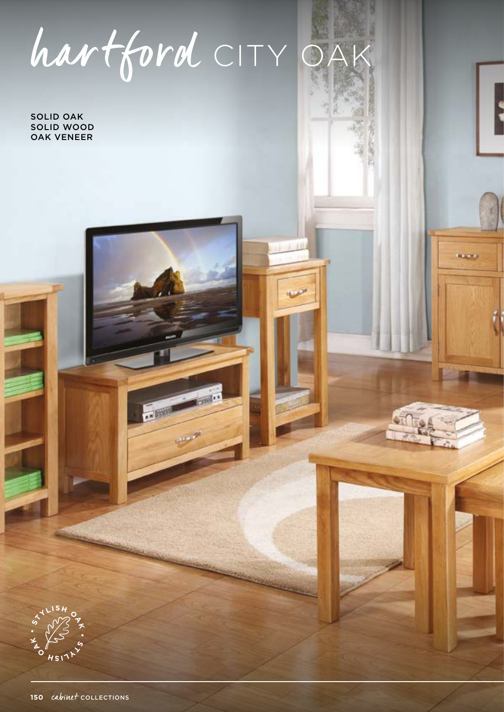hartford CITY OA

12

. 600

**NAME** 

SOLID OAK SOLID WOOD OAK VENEER

**K •**

 $\frac{x^4}{2}$ **L**<br>  $\frac{154}{2}$ 

 $\frac{L}{2}$  **I**  $\frac{L}{2}$ 

**K •**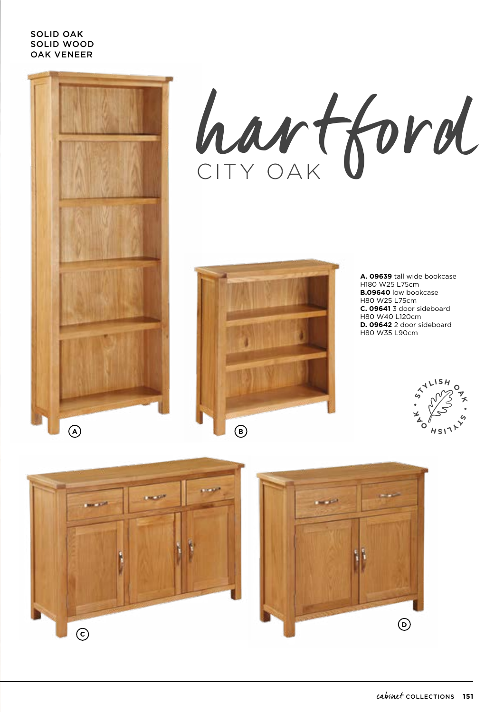## SOLID OAK SOLID WOOD OAK VENEER







**A. 09639** tall wide bookcase H180 W25 L75cm **B.09640** low bookcase H80 W25 L75cm **C. 09641** 3 door sideboard H80 W40 L120cm **D. 09642** 2 door sideboard H80 W35 L90cm





**D**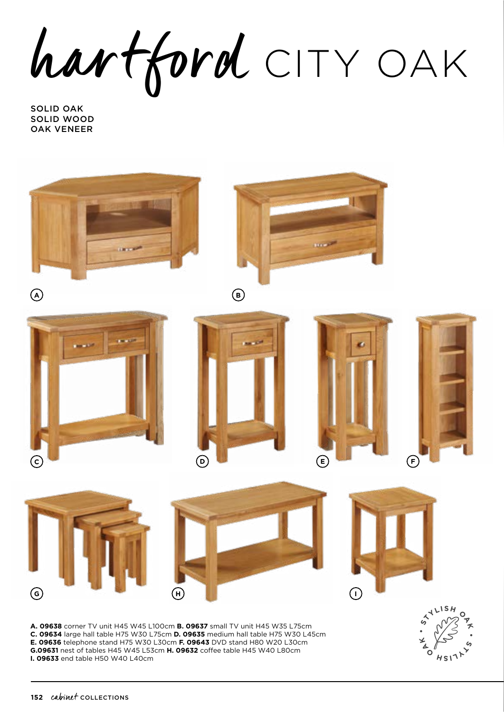hartford CITY OAK

SOLID OAK SOLID WOOD OAK VENEER